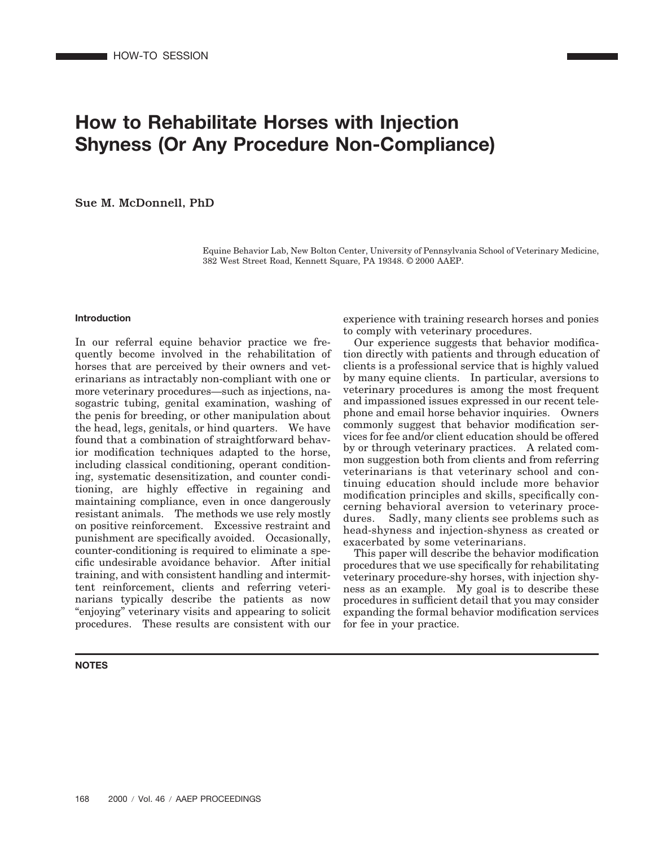# **How to Rehabilitate Horses with Injection Shyness (Or Any Procedure Non-Compliance)**

Sue M. McDonnell, PhD

Equine Behavior Lab, New Bolton Center, University of Pennsylvania School of Veterinary Medicine, 382 West Street Road, Kennett Square, PA 19348. © 2000 AAEP.

#### **Introduction**

In our referral equine behavior practice we frequently become involved in the rehabilitation of horses that are perceived by their owners and veterinarians as intractably non-compliant with one or more veterinary procedures—such as injections, nasogastric tubing, genital examination, washing of the penis for breeding, or other manipulation about the head, legs, genitals, or hind quarters. We have found that a combination of straightforward behavior modification techniques adapted to the horse, including classical conditioning, operant conditioning, systematic desensitization, and counter conditioning, are highly effective in regaining and maintaining compliance, even in once dangerously resistant animals. The methods we use rely mostly on positive reinforcement. Excessive restraint and punishment are specifically avoided. Occasionally, counter-conditioning is required to eliminate a specific undesirable avoidance behavior. After initial training, and with consistent handling and intermittent reinforcement, clients and referring veterinarians typically describe the patients as now "enjoying" veterinary visits and appearing to solicit procedures. These results are consistent with our

# **NOTES**

experience with training research horses and ponies to comply with veterinary procedures.

Our experience suggests that behavior modification directly with patients and through education of clients is a professional service that is highly valued by many equine clients. In particular, aversions to veterinary procedures is among the most frequent and impassioned issues expressed in our recent telephone and email horse behavior inquiries. Owners commonly suggest that behavior modification services for fee and/or client education should be offered by or through veterinary practices. A related common suggestion both from clients and from referring veterinarians is that veterinary school and continuing education should include more behavior modification principles and skills, specifically concerning behavioral aversion to veterinary procedures. Sadly, many clients see problems such as head-shyness and injection-shyness as created or exacerbated by some veterinarians.

This paper will describe the behavior modification procedures that we use specifically for rehabilitating veterinary procedure-shy horses, with injection shyness as an example. My goal is to describe these procedures in sufficient detail that you may consider expanding the formal behavior modification services for fee in your practice.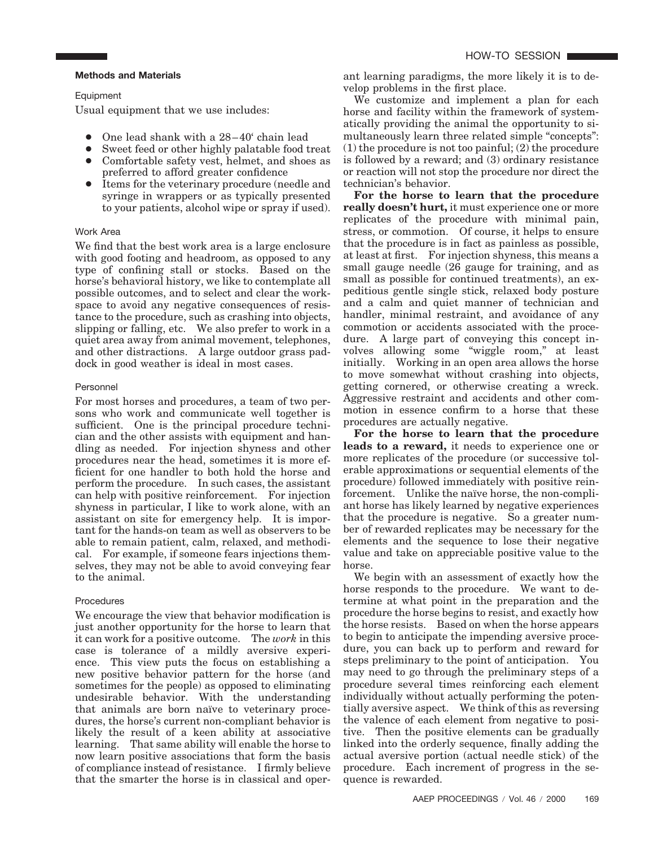## **Methods and Materials**

Equipment

Usual equipment that we use includes:

- One lead shank with a  $28-40^{\circ}$  chain lead
- Sweet feed or other highly palatable food treat
- Comfortable safety vest, helmet, and shoes as preferred to afford greater confidence
- Items for the veterinary procedure (needle and syringe in wrappers or as typically presented to your patients, alcohol wipe or spray if used).

# Work Area

We find that the best work area is a large enclosure with good footing and headroom, as opposed to any type of confining stall or stocks. Based on the horse's behavioral history, we like to contemplate all possible outcomes, and to select and clear the workspace to avoid any negative consequences of resistance to the procedure, such as crashing into objects, slipping or falling, etc. We also prefer to work in a quiet area away from animal movement, telephones, and other distractions. A large outdoor grass paddock in good weather is ideal in most cases.

## Personnel

For most horses and procedures, a team of two persons who work and communicate well together is sufficient. One is the principal procedure technician and the other assists with equipment and handling as needed. For injection shyness and other procedures near the head, sometimes it is more efficient for one handler to both hold the horse and perform the procedure. In such cases, the assistant can help with positive reinforcement. For injection shyness in particular, I like to work alone, with an assistant on site for emergency help. It is important for the hands-on team as well as observers to be able to remain patient, calm, relaxed, and methodical. For example, if someone fears injections themselves, they may not be able to avoid conveying fear to the animal.

# **Procedures**

We encourage the view that behavior modification is just another opportunity for the horse to learn that it can work for a positive outcome. The *work* in this case is tolerance of a mildly aversive experience. This view puts the focus on establishing a new positive behavior pattern for the horse (and sometimes for the people) as opposed to eliminating undesirable behavior. With the understanding that animals are born naïve to veterinary procedures, the horse's current non-compliant behavior is likely the result of a keen ability at associative learning. That same ability will enable the horse to now learn positive associations that form the basis of compliance instead of resistance. I firmly believe that the smarter the horse is in classical and operant learning paradigms, the more likely it is to develop problems in the first place.

We customize and implement a plan for each horse and facility within the framework of systematically providing the animal the opportunity to simultaneously learn three related simple "concepts": (1) the procedure is not too painful; (2) the procedure is followed by a reward; and (3) ordinary resistance or reaction will not stop the procedure nor direct the technician's behavior.

**For the horse to learn that the procedure really doesn't hurt,** it must experience one or more replicates of the procedure with minimal pain, stress, or commotion. Of course, it helps to ensure that the procedure is in fact as painless as possible, at least at first. For injection shyness, this means a small gauge needle (26 gauge for training, and as small as possible for continued treatments), an expeditious gentle single stick, relaxed body posture and a calm and quiet manner of technician and handler, minimal restraint, and avoidance of any commotion or accidents associated with the procedure. A large part of conveying this concept involves allowing some "wiggle room," at least initially. Working in an open area allows the horse to move somewhat without crashing into objects, getting cornered, or otherwise creating a wreck. Aggressive restraint and accidents and other commotion in essence confirm to a horse that these procedures are actually negative.

**For the horse to learn that the procedure leads to a reward,** it needs to experience one or more replicates of the procedure (or successive tolerable approximations or sequential elements of the procedure) followed immediately with positive reinforcement. Unlike the naïve horse, the non-compliant horse has likely learned by negative experiences that the procedure is negative. So a greater number of rewarded replicates may be necessary for the elements and the sequence to lose their negative value and take on appreciable positive value to the horse.

We begin with an assessment of exactly how the horse responds to the procedure. We want to determine at what point in the preparation and the procedure the horse begins to resist, and exactly how the horse resists. Based on when the horse appears to begin to anticipate the impending aversive procedure, you can back up to perform and reward for steps preliminary to the point of anticipation. You may need to go through the preliminary steps of a procedure several times reinforcing each element individually without actually performing the potentially aversive aspect. We think of this as reversing the valence of each element from negative to positive. Then the positive elements can be gradually linked into the orderly sequence, finally adding the actual aversive portion (actual needle stick) of the procedure. Each increment of progress in the sequence is rewarded.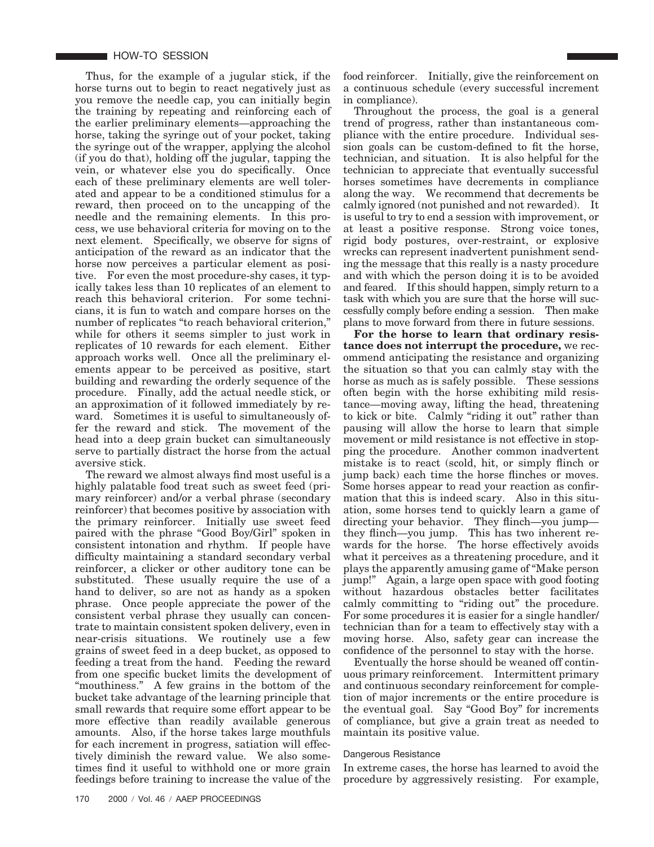Thus, for the example of a jugular stick, if the horse turns out to begin to react negatively just as you remove the needle cap, you can initially begin the training by repeating and reinforcing each of the earlier preliminary elements—approaching the horse, taking the syringe out of your pocket, taking the syringe out of the wrapper, applying the alcohol (if you do that), holding off the jugular, tapping the vein, or whatever else you do specifically. Once each of these preliminary elements are well tolerated and appear to be a conditioned stimulus for a reward, then proceed on to the uncapping of the needle and the remaining elements. In this process, we use behavioral criteria for moving on to the next element. Specifically, we observe for signs of anticipation of the reward as an indicator that the horse now perceives a particular element as positive. For even the most procedure-shy cases, it typically takes less than 10 replicates of an element to reach this behavioral criterion. For some technicians, it is fun to watch and compare horses on the number of replicates "to reach behavioral criterion," while for others it seems simpler to just work in replicates of 10 rewards for each element. Either approach works well. Once all the preliminary elements appear to be perceived as positive, start building and rewarding the orderly sequence of the procedure. Finally, add the actual needle stick, or an approximation of it followed immediately by reward. Sometimes it is useful to simultaneously offer the reward and stick. The movement of the head into a deep grain bucket can simultaneously serve to partially distract the horse from the actual aversive stick.

The reward we almost always find most useful is a highly palatable food treat such as sweet feed (primary reinforcer) and/or a verbal phrase (secondary reinforcer) that becomes positive by association with the primary reinforcer. Initially use sweet feed paired with the phrase "Good Boy/Girl" spoken in consistent intonation and rhythm. If people have difficulty maintaining a standard secondary verbal reinforcer, a clicker or other auditory tone can be substituted. These usually require the use of a hand to deliver, so are not as handy as a spoken phrase. Once people appreciate the power of the consistent verbal phrase they usually can concentrate to maintain consistent spoken delivery, even in near-crisis situations. We routinely use a few grains of sweet feed in a deep bucket, as opposed to feeding a treat from the hand. Feeding the reward from one specific bucket limits the development of "mouthiness." A few grains in the bottom of the bucket take advantage of the learning principle that small rewards that require some effort appear to be more effective than readily available generous amounts. Also, if the horse takes large mouthfuls for each increment in progress, satiation will effectively diminish the reward value. We also sometimes find it useful to withhold one or more grain feedings before training to increase the value of the

food reinforcer. Initially, give the reinforcement on a continuous schedule (every successful increment in compliance).

Throughout the process, the goal is a general trend of progress, rather than instantaneous compliance with the entire procedure. Individual session goals can be custom-defined to fit the horse, technician, and situation. It is also helpful for the technician to appreciate that eventually successful horses sometimes have decrements in compliance along the way. We recommend that decrements be calmly ignored (not punished and not rewarded). It is useful to try to end a session with improvement, or at least a positive response. Strong voice tones, rigid body postures, over-restraint, or explosive wrecks can represent inadvertent punishment sending the message that this really is a nasty procedure and with which the person doing it is to be avoided and feared. If this should happen, simply return to a task with which you are sure that the horse will successfully comply before ending a session. Then make plans to move forward from there in future sessions.

**For the horse to learn that ordinary resistance does not interrupt the procedure,** we recommend anticipating the resistance and organizing the situation so that you can calmly stay with the horse as much as is safely possible. These sessions often begin with the horse exhibiting mild resistance—moving away, lifting the head, threatening to kick or bite. Calmly "riding it out" rather than pausing will allow the horse to learn that simple movement or mild resistance is not effective in stopping the procedure. Another common inadvertent mistake is to react (scold, hit, or simply flinch or jump back) each time the horse flinches or moves. Some horses appear to read your reaction as confirmation that this is indeed scary. Also in this situation, some horses tend to quickly learn a game of directing your behavior. They flinch—you jump they flinch—you jump. This has two inherent rewards for the horse. The horse effectively avoids what it perceives as a threatening procedure, and it plays the apparently amusing game of "Make person jump!" Again, a large open space with good footing without hazardous obstacles better facilitates calmly committing to "riding out" the procedure. For some procedures it is easier for a single handler/ technician than for a team to effectively stay with a moving horse. Also, safety gear can increase the confidence of the personnel to stay with the horse.

Eventually the horse should be weaned off continuous primary reinforcement. Intermittent primary and continuous secondary reinforcement for completion of major increments or the entire procedure is the eventual goal. Say "Good Boy" for increments of compliance, but give a grain treat as needed to maintain its positive value.

## Dangerous Resistance

In extreme cases, the horse has learned to avoid the procedure by aggressively resisting. For example,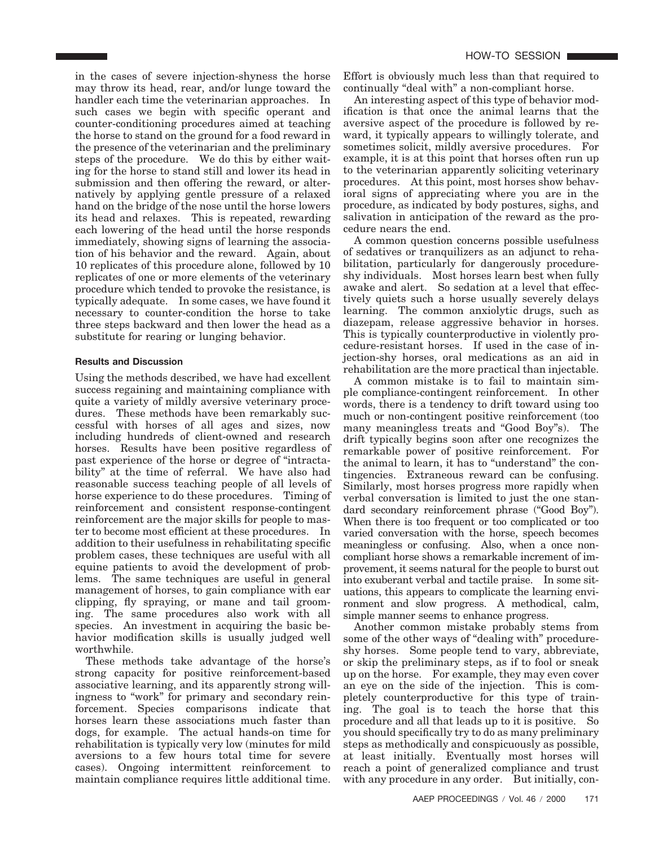in the cases of severe injection-shyness the horse may throw its head, rear, and/or lunge toward the handler each time the veterinarian approaches. In such cases we begin with specific operant and counter-conditioning procedures aimed at teaching the horse to stand on the ground for a food reward in the presence of the veterinarian and the preliminary steps of the procedure. We do this by either waiting for the horse to stand still and lower its head in submission and then offering the reward, or alternatively by applying gentle pressure of a relaxed hand on the bridge of the nose until the horse lowers its head and relaxes. This is repeated, rewarding each lowering of the head until the horse responds immediately, showing signs of learning the association of his behavior and the reward. Again, about 10 replicates of this procedure alone, followed by 10 replicates of one or more elements of the veterinary procedure which tended to provoke the resistance, is typically adequate. In some cases, we have found it necessary to counter-condition the horse to take three steps backward and then lower the head as a substitute for rearing or lunging behavior.

# **Results and Discussion**

Using the methods described, we have had excellent success regaining and maintaining compliance with quite a variety of mildly aversive veterinary procedures. These methods have been remarkably successful with horses of all ages and sizes, now including hundreds of client-owned and research horses. Results have been positive regardless of past experience of the horse or degree of "intractability" at the time of referral. We have also had reasonable success teaching people of all levels of horse experience to do these procedures. Timing of reinforcement and consistent response-contingent reinforcement are the major skills for people to master to become most efficient at these procedures. In addition to their usefulness in rehabilitating specific problem cases, these techniques are useful with all equine patients to avoid the development of problems. The same techniques are useful in general management of horses, to gain compliance with ear clipping, fly spraying, or mane and tail grooming. The same procedures also work with all species. An investment in acquiring the basic behavior modification skills is usually judged well worthwhile.

These methods take advantage of the horse's strong capacity for positive reinforcement-based associative learning, and its apparently strong willingness to "work" for primary and secondary reinforcement. Species comparisons indicate that horses learn these associations much faster than dogs, for example. The actual hands-on time for rehabilitation is typically very low (minutes for mild aversions to a few hours total time for severe cases). Ongoing intermittent reinforcement to maintain compliance requires little additional time.

Effort is obviously much less than that required to continually "deal with" a non-compliant horse.

An interesting aspect of this type of behavior modification is that once the animal learns that the aversive aspect of the procedure is followed by reward, it typically appears to willingly tolerate, and sometimes solicit, mildly aversive procedures. For example, it is at this point that horses often run up to the veterinarian apparently soliciting veterinary procedures. At this point, most horses show behavioral signs of appreciating where you are in the procedure, as indicated by body postures, sighs, and salivation in anticipation of the reward as the procedure nears the end.

A common question concerns possible usefulness of sedatives or tranquilizers as an adjunct to rehabilitation, particularly for dangerously procedureshy individuals. Most horses learn best when fully awake and alert. So sedation at a level that effectively quiets such a horse usually severely delays learning. The common anxiolytic drugs, such as diazepam, release aggressive behavior in horses. This is typically counterproductive in violently procedure-resistant horses. If used in the case of injection-shy horses, oral medications as an aid in rehabilitation are the more practical than injectable.

A common mistake is to fail to maintain simple compliance-contingent reinforcement. In other words, there is a tendency to drift toward using too much or non-contingent positive reinforcement (too many meaningless treats and "Good Boy"s). The drift typically begins soon after one recognizes the remarkable power of positive reinforcement. For the animal to learn, it has to "understand" the contingencies. Extraneous reward can be confusing. Similarly, most horses progress more rapidly when verbal conversation is limited to just the one standard secondary reinforcement phrase ("Good Boy"). When there is too frequent or too complicated or too varied conversation with the horse, speech becomes meaningless or confusing. Also, when a once noncompliant horse shows a remarkable increment of improvement, it seems natural for the people to burst out into exuberant verbal and tactile praise. In some situations, this appears to complicate the learning environment and slow progress. A methodical, calm, simple manner seems to enhance progress.

Another common mistake probably stems from some of the other ways of "dealing with" procedureshy horses. Some people tend to vary, abbreviate, or skip the preliminary steps, as if to fool or sneak up on the horse. For example, they may even cover an eye on the side of the injection. This is completely counterproductive for this type of training. The goal is to teach the horse that this procedure and all that leads up to it is positive. So you should specifically try to do as many preliminary steps as methodically and conspicuously as possible, at least initially. Eventually most horses will reach a point of generalized compliance and trust with any procedure in any order. But initially, con